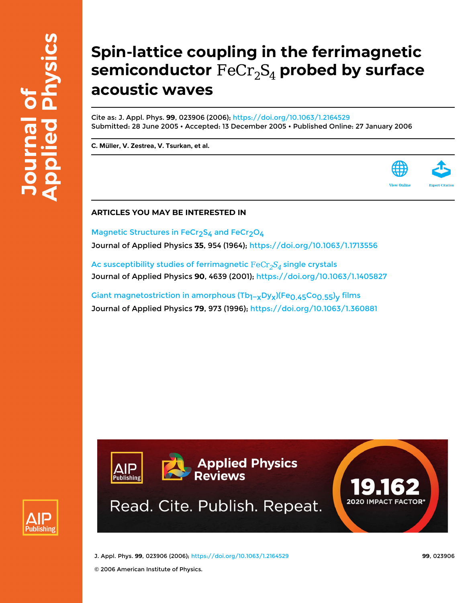# **Spin-lattice coupling in the ferrimagnetic** semiconductor  $\text{FeCr}_2\text{S}_4$  probed by surface **acoustic waves**

Cite as: J. Appl. Phys. **99**, 023906 (2006);<https://doi.org/10.1063/1.2164529> Submitted: 28 June 2005 • Accepted: 13 December 2005 • Published Online: 27 January 2006

**[C. Müller](https://aip.scitation.org/author/M%C3%BCller%2C+C), [V. Zestrea,](https://aip.scitation.org/author/Zestrea%2C+V) [V. Tsurkan,](https://aip.scitation.org/author/Tsurkan%2C+V) et al.**



Magnetic Structures in FeCr<sub>2</sub>S<sub>4</sub> and FeCr<sub>2</sub>O<sub>4</sub> Journal of Applied Physics **35**, 954 (1964); <https://doi.org/10.1063/1.1713556>

Ac susceptibility studies of ferrimagnetic  $\text{FeCr}_2S_4$  single crystals Journal of Applied Physics **90**, 4639 (2001); <https://doi.org/10.1063/1.1405827>

Giant magnetostriction in amorphous (Tb<sub>1−x</sub>Dy<sub>x</sub>)(Fe<sub>0.45</sub>Co<sub>0.55</sub>)<sub>y</sub> films Journal of Applied Physics **79**, 973 (1996); <https://doi.org/10.1063/1.360881>





J. Appl. Phys. **99**, 023906 (2006); <https://doi.org/10.1063/1.2164529> **99**, 023906

© 2006 American Institute of Physics.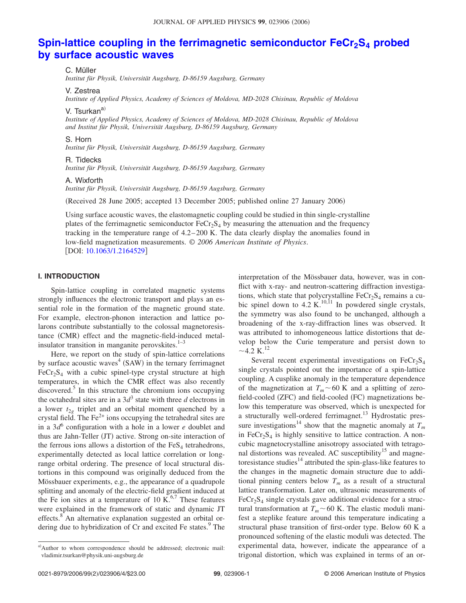# **Spin-lattice coupling in the ferrimagnetic semiconductor FeCr<sub>2</sub>S<sub>4</sub> probed [by surface acoustic waves](http://dx.doi.org/10.1063/1.2164529)**

C. Müller

*Institut für Physik, Universität Augsburg, D-86159 Augsburg, Germany*

V. Zestrea

*Institute of Applied Physics, Academy of Sciences of Moldova, MD-2028 Chisinau, Republic of Moldova*

V. Tsurkan<sup>a)</sup>

*Institute of Applied Physics, Academy of Sciences of Moldova, MD-2028 Chisinau, Republic of Moldova and Institut für Physik, Universität Augsburg, D-86159 Augsburg, Germany*

#### S. Horn

*Institut für Physik, Universität Augsburg, D-86159 Augsburg, Germany*

# R. Tidecks

*Institut für Physik, Universität Augsburg, D-86159 Augsburg, Germany*

### A. Wixforth

*Institut für Physik, Universität Augsburg, D-86159 Augsburg, Germany*

(Received 28 June 2005; accepted 13 December 2005; published online 27 January 2006)

Using surface acoustic waves, the elastomagnetic coupling could be studied in thin single-crystalline plates of the ferrimagnetic semiconductor  $F e C r_2 S_4$  by measuring the attenuation and the frequency tracking in the temperature range of 4.2–200 K. The data clearly display the anomalies found in low-field magnetization measurements. © *2006 American Institute of Physics*. DOI: [10.1063/1.2164529](http://dx.doi.org/10.1063/1.2164529)

# **I. INTRODUCTION**

Spin-lattice coupling in correlated magnetic systems strongly influences the electronic transport and plays an essential role in the formation of the magnetic ground state. For example, electron-phonon interaction and lattice polarons contribute substantially to the colossal magnetoresistance (CMR) effect and the magnetic-field-induced metalinsulator transition in manganite perovskites. $1-3$ 

Here, we report on the study of spin-lattice correlations by surface acoustic waves<sup>4</sup> (SAW) in the ternary ferrimagnet  $FeCr<sub>2</sub>S<sub>4</sub>$  with a cubic spinel-type crystal structure at high temperatures, in which the CMR effect was also recently discovered.<sup>5</sup> In this structure the chromium ions occupying the octahedral sites are in a  $3d<sup>3</sup>$  state with three *d* electrons in a lower  $t_{2g}$  triplet and an orbital moment quenched by a crystal field. The  $Fe<sup>2+</sup>$  ions occupying the tetrahedral sites are in a  $3d^6$  configuration with a hole in a lower *e* doublet and thus are Jahn-Teller (JT) active. Strong on-site interaction of the ferrous ions allows a distortion of the  $FeS<sub>4</sub>$  tetrahedrons, experimentally detected as local lattice correlation or longrange orbital ordering. The presence of local structural distortions in this compound was originally deduced from the Mössbauer experiments, e.g., the appearance of a quadrupole splitting and anomaly of the electric-field gradient induced at the Fe ion sites at a temperature of 10  $\tilde{K}^{6,7}$  These features were explained in the framework of static and dynamic JT effects.<sup>8</sup> An alternative explanation suggested an orbital ordering due to hybridization of Cr and excited Fe states.<sup>9</sup> The

interpretation of the Mössbauer data, however, was in conflict with x-ray- and neutron-scattering diffraction investigations, which state that polycrystalline  $FeCr<sub>2</sub>S<sub>4</sub>$  remains a cubic spinel down to 4.2 K.<sup>10,11</sup> In powdered single crystals, the symmetry was also found to be unchanged, although a broadening of the x-ray-diffraction lines was observed. It was attributed to inhomogeneous lattice distortions that develop below the Curie temperature and persist down to  $\sim$  4.2 K.<sup>12</sup>

Several recent experimental investigations on  $FeCr<sub>2</sub>S<sub>4</sub>$ single crystals pointed out the importance of a spin-lattice coupling. A cusplike anomaly in the temperature dependence of the magnetization at  $T_m \sim 60$  K and a splitting of zerofield-cooled (ZFC) and field-cooled (FC) magnetizations below this temperature was observed, which is unexpected for a structurally well-ordered ferrimagnet.<sup>13</sup> Hydrostatic pressure investigations<sup>14</sup> show that the magnetic anomaly at  $T_m$ in  $FeCr<sub>2</sub>S<sub>4</sub>$  is highly sensitive to lattice contraction. A noncubic magnetocrystalline anisotropy associated with tetragonal distortions was revealed. AC susceptibility<sup>15</sup> and magnetoresistance studies $14$  attributed the spin-glass-like features to the changes in the magnetic domain structure due to additional pinning centers below  $T_m$  as a result of a structural lattice transformation. Later on, ultrasonic measurements of  $FeCr<sub>2</sub>S<sub>4</sub>$  single crystals gave additional evidence for a structural transformation at  $T_m \sim 60$  K. The elastic moduli manifest a steplike feature around this temperature indicating a structural phase transition of first-order type. Below 60 K a pronounced softening of the elastic moduli was detected. The experimental data, however, indicate the appearance of a trigonal distortion, which was explained in terms of an or-

a)Author to whom correspondence should be addressed; electronic mail: vladimir.tsurkan@physik.uni-augsburg.de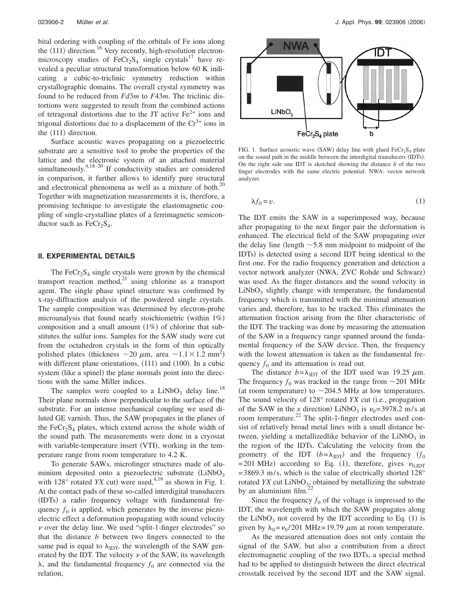bital ordering with coupling of the orbitals of Fe ions along the  $\langle 111 \rangle$  direction.<sup>16</sup> Very recently, high-resolution electronmicroscopy studies of  $F eCr_2S_4$  single crystals<sup>17</sup> have revealed a peculiar structural transformation below 60 K indicating a cubic-to-triclinic symmetry reduction within crystallographic domains. The overall crystal symmetry was found to be reduced from *Fd*3*m* to *F*43*m*. The triclinic distortions were suggested to result from the combined actions of tetragonal distortions due to the JT active  $Fe<sup>2+</sup>$  ions and trigonal distortions due to a displacement of the  $Cr<sup>3+</sup>$  ions in the  $\langle 111 \rangle$  direction.

Surface acoustic waves propagating on a piezoelectric substrate are a sensitive tool to probe the properties of the lattice and the electronic system of an attached material simultaneously.<sup>4,18-20</sup> If conductivity studies are considered in comparison, it further allows to identify pure structural and electronical phenomena as well as a mixture of both.<sup>20</sup> Together with magnetization measurements it is, therefore, a promising technique to investigate the elastomagnetic coupling of single-crystalline plates of a ferrimagnetic semiconductor such as  $FeCr<sub>2</sub>S<sub>4</sub>$ .

# **II. EXPERIMENTAL DETAILS**

The  $FeCr<sub>2</sub>S<sub>4</sub>$  single crystals were grown by the chemical transport reaction method,<sup>21</sup> using chlorine as a transport agent. The single phase spinel structure was confirmed by x-ray-diffraction analysis of the powdered single crystals. The sample composition was determined by electron-probe microanalysis that found nearly stoichiometric (within 1%) composition and a small amount  $(1%)$  of chlorine that substitutes the sulfur ions. Samples for the SAW study were cut from the octahedron crystals in the form of thin optically polished plates (thickness  $\sim$  20  $\mu$ m, area  $\sim$  1.1  $\times$  1.2 mm<sup>2</sup>) with different plane orientations, (111) and (100). In a cubic system (like a spinel) the plane normals point into the directions with the same Miller indices.

The samples were coupled to a  $LiNbO<sub>3</sub>$  delay line.<sup>18</sup> Their plane normals show perpendicular to the surface of the substrate. For an intense mechanical coupling we used diluted GE varnish. Thus, the SAW propagates in the planes of the FeCr<sub>2</sub>S<sub>4</sub> plates, which extend across the whole width of the sound path. The measurements were done in a cryostat with variable-temperature insert (VTI), working in the temperature range from room temperature to 4.2 K.

To generate SAWs, microfinger structures made of aluminium deposited onto a piezoelectric substrate (LiNbO<sub>3</sub> with 128 $\degree$  rotated *YX* cut) were used,<sup>4,19</sup> as shown in Fig. 1. At the contact pads of these so-called interdigital transducers (IDTs) a radio frequency voltage with fundamental frequency  $f_0$  is applied, which generates by the inverse piezoelectric effect a deformation propagating with sound velocity  $\nu$  over the delay line. We used "split-1-finger electrodes" so that the distance *b* between two fingers connected to the same pad is equal to  $\lambda_{\text{IDT}}$ , the wavelength of the SAW generated by the IDT. The velocity  $\nu$  of the SAW, its wavelength  $\lambda$ , and the fundamental frequency  $f_0$  are connected via the relation,



FIG. 1. Surface acoustic wave (SAW) delay line with glued  $FeCr<sub>2</sub>S<sub>4</sub>$  plate on the sound path in the middle between the interdigital transducers (IDTs). On the right side one IDT is sketched showing the distance *b* of the two finger electrodes with the same electric potential. NWA: vector network analyzer.

$$
\lambda f_0 = v. \tag{1}
$$

The IDT emits the SAW in a superimposed way, because after propagating to the next finger pair the deformation is enhanced. The electrical field of the SAW propagating over the delay line (length  $\sim$  5.8 mm midpoint to midpoint of the IDTs) is detected using a second IDT being identical to the first one. For the radio frequency generation and detection a vector network analyzer (NWA, ZVC Rohde und Schwarz) was used. As the finger distances and the sound velocity in  $LiNbO<sub>3</sub>$  slightly change with temperature, the fundamental frequency which is transmitted with the minimal attenuation varies and, therefore, has to be tracked. This eliminates the attenuation fraction arising from the filter characteristic of the IDT. The tracking was done by measuring the attenuation of the SAW in a frequency range spanned around the fundamental frequency of the SAW device. Then, the frequency with the lowest attenuation is taken as the fundamental frequency  $f_0$  and its attenuation is read out.

The distance  $b = \lambda_{\text{IDT}}$  of the IDT used was 19.25  $\mu$ m. The frequency  $f_0$  was tracked in the range from  $\sim$ 201 MHz (at room temperature) to  $\sim$  204.5 MHz at low temperatures. The sound velocity of 128° rotated *YX* cut (i.e., propagation of the SAW in the *x* direction) LiNbO<sub>3</sub> is  $v_0$ =3978.2 m/s at room temperature.<sup>22</sup> The split-1-finger electrodes used consist of relatively broad metal lines with a small distance between, yielding a metallizedlike behavior of the  $LiNbO<sub>3</sub>$  in the region of the IDTs. Calculating the velocity from the geometry of the IDT  $(b = \lambda_{\text{IDT}})$  and the frequency  $(f_0)$ = 201 MHz) according to Eq. (1), therefore, gives  $v_{0,\text{IDT}}$  $=$  3869.3 m/s, which is the value of electrically shorted 128 $^{\circ}$ rotated *YX* cut  $LiNbO<sub>3</sub>$ , obtained by metallizing the substrate by an aluminium film. $^{2}$ 

Since the frequency  $f_0$  of the voltage is impressed to the IDT, the wavelength with which the SAW propagates along the LiNbO<sub>3</sub> not covered by the IDT according to Eq.  $(1)$  is given by  $\lambda_0 = \nu_0 / 201 \text{ MHz} = 19.79 \mu \text{m}$  at room temperature.

As the measured attenuation does not only contain the signal of the SAW, but also a contribution from a direct electromagnetic coupling of the two IDTs, a special method had to be applied to distinguish between the direct electrical crosstalk received by the second IDT and the SAW signal.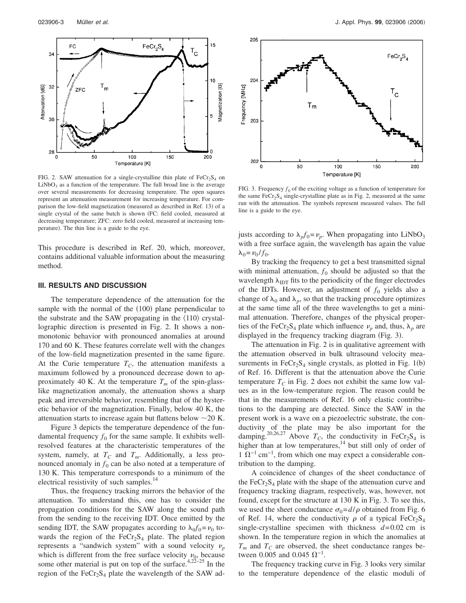

FIG. 2. SAW attenuation for a single-crystalline thin plate of  $FeCr<sub>2</sub>S<sub>4</sub>$  on  $LiNbO<sub>3</sub>$  as a function of the temperature. The full broad line is the average over several measurements for decreasing temperature. The open squares represent an attenuation measurement for increasing temperature. For comparison the low-field magnetization (measured as described in Ref. 13) of a single crystal of the same butch is shown (FC: field cooled, measured at decreasing temperature; ZFC: zero field cooled, measured at increasing temperature). The thin line is a guide to the eye.

This procedure is described in Ref. 20, which, moreover, contains additional valuable information about the measuring method.

#### **III. RESULTS AND DISCUSSION**

The temperature dependence of the attenuation for the sample with the normal of the (100) plane perpendicular to the substrate and the SAW propagating in the  $\langle 110 \rangle$  crystallographic direction is presented in Fig. 2. It shows a nonmonotonic behavior with pronounced anomalies at around 170 and 60 K. These features correlate well with the changes of the low-field magnetization presented in the same figure. At the Curie temperature  $T_C$ , the attenuation manifests a maximum followed by a pronounced decrease down to approximately 40 K. At the temperature  $T_m$  of the spin-glasslike magnetization anomaly, the attenuation shows a sharp peak and irreversible behavior, resembling that of the hysteretic behavior of the magnetization. Finally, below 40 K, the attenuation starts to increase again but flattens below  $\sim$  20 K.

Figure 3 depicts the temperature dependence of the fundamental frequency  $f_0$  for the same sample. It exhibits wellresolved features at the characteristic temperatures of the system, namely, at  $T_c$  and  $T_m$ . Additionally, a less pronounced anomaly in  $f_0$  can be also noted at a temperature of 130 K. This temperature corresponds to a minimum of the electrical resistivity of such samples.<sup>1</sup>

Thus, the frequency tracking mirrors the behavior of the attenuation. To understand this, one has to consider the propagation conditions for the SAW along the sound path from the sending to the receiving IDT. Once emitted by the sending IDT, the SAW propagates according to  $\lambda_0 f_0 = v_0$  towards the region of the  $FeCr<sub>2</sub>S<sub>4</sub>$  plate. The plated region represents a "sandwich system" with a sound velocity  $\nu_p$ which is different from the free surface velocity  $\nu_0$ , because some other material is put on top of the surface. $4,22-25$  In the region of the  $FeCr<sub>2</sub>S<sub>4</sub>$  plate the wavelength of the SAW ad-



FIG. 3. Frequency  $f_0$  of the exciting voltage as a function of temperature for the same  $FeCr<sub>2</sub>S<sub>4</sub>$  single-crystalline plate as in Fig. 2, measured at the same run with the attenuation. The symbols represent measured values. The full line is a guide to the eye.

justs according to  $\lambda_p f_0 = \nu_p$ . When propagating into LiNbO<sub>3</sub> with a free surface again, the wavelength has again the value  $\lambda_0 = \nu_0 / f_0$ .

By tracking the frequency to get a best transmitted signal with minimal attenuation,  $f_0$  should be adjusted so that the wavelength  $\lambda_{\text{IDT}}$  fits to the periodicity of the finger electrodes of the IDTs. However, an adjustment of  $f_0$  yields also a change of  $\lambda_0$  and  $\lambda_p$ , so that the tracking procedure optimizes at the same time all of the three wavelengths to get a minimal attenuation. Therefore, changes of the physical properties of the FeCr<sub>2</sub>S<sub>4</sub> plate which influence  $\nu_p$  and, thus,  $\lambda_p$  are displayed in the frequency tracking diagram (Fig. 3).

The attenuation in Fig. 2 is in qualitative agreement with the attenuation observed in bulk ultrasound velocity measurements in  $FeCr<sub>2</sub>S<sub>4</sub>$  single crystals, as plotted in Fig. 1(b) of Ref. 16. Different is that the attenuation above the Curie temperature  $T_c$  in Fig. 2 does not exhibit the same low values as in the low-temperature region. The reason could be that in the measurements of Ref. 16 only elastic contributions to the damping are detected. Since the SAW in the present work is a wave on a piezoelectric substrate, the conductivity of the plate may be also important for the damping.<sup>20,26,27</sup> Above  $T_c$ , the conductivity in FeCr<sub>2</sub>S<sub>4</sub> is higher than at low temperatures,<sup>14</sup> but still only of order of  $1 \Omega^{-1}$  cm<sup>-1</sup>, from which one may expect a considerable contribution to the damping.

A coincidence of changes of the sheet conductance of the FeCr<sub>2</sub>S<sub>4</sub> plate with the shape of the attenuation curve and frequency tracking diagram, respectively, was, however, not found, except for the structure at 130 K in Fig. 3. To see this, we used the sheet conductance  $\sigma_0 = d/\rho$  obtained from Fig. 6 of Ref. 14, where the conductivity  $\rho$  of a typical FeCr<sub>2</sub>S<sub>4</sub> single-crystalline specimen with thickness *d*=0.02 cm is shown. In the temperature region in which the anomalies at  $T_m$  and  $T_c$  are observed, the sheet conductance ranges between 0.005 and 0.045  $\Omega^{-1}$ .

The frequency tracking curve in Fig. 3 looks very similar to the temperature dependence of the elastic moduli of